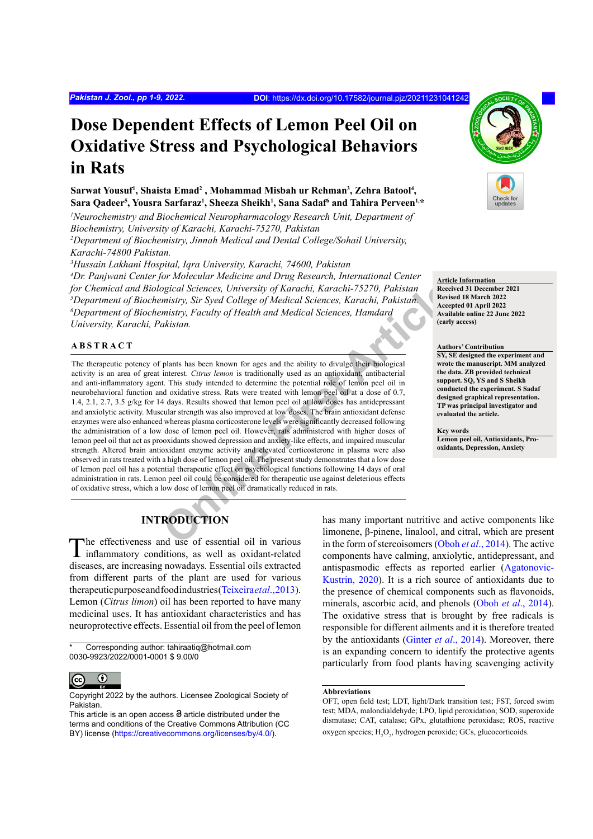# **Dose Dependent Effects of Lemon Peel Oil on Oxidative Stress and Psychological Behaviors in Rats**

Sarwat Yousuf<sup>1</sup>, Shaista Emad<sup>2</sup>, Mohammad Misbah ur Rehman<sup>3</sup>, Zehra Batool<sup>4</sup>,  $\,$  Sara Qadeer<sup>5</sup>, Yousra Sarfaraz<sup>1</sup>, Sheeza Sheikh<sup>1</sup>, Sana Sadaf<sup>6</sup> and Tahira Perveen<sup>1,\*</sup>

<sup>1</sup>Neurochemistry and Biochemical Neuropharmacology Research Unit, Department of *Biochemistry, University of Karachi, Karachi-75270, Pakistan 2 Department of Biochemistry, Jinnah Medical and Dental College/Sohail University,* 

*Karachi-74800 Pakistan.*

*3 Hussain Lakhani Hospital, Iqra University, Karachi, 74600, Pakistan*

*4 Dr. Panjwani Center for Molecular Medicine and Drug Research, International Center for Chemical and Biological Sciences, University of Karachi, Karachi-75270, Pakistan 5 Department of Biochemistry, Sir Syed College of Medical Sciences, Karachi, Pakistan. 6 Department of Biochemistry, Faculty of Health and Medical Sciences, Hamdard University, Karachi, Pakistan.*

# **ABSTRACT**

original Sciences, University of Karachi, Karachi-75270, Pakistan<br>
mistry, Sir Syed College of Medical Sciences, Karachi, Pakistan.<br>
mistry, Faculty of Health and Medical Sciences, Hamdard<br>
akistan.<br>
hensets Citrus lemon i The therapeutic potency of plants has been known for ages and the ability to divulge their biological activity is an area of great interest. *Citrus lemon* is traditionally used as an antioxidant, antibacterial and anti-inflammatory agent. This study intended to determine the potential role of lemon peel oil in neurobehavioral function and oxidative stress. Rats were treated with lemon peel oil at a dose of 0.7, 1.4, 2.1, 2.7, 3.5 g/kg for 14 days. Results showed that lemon peel oil at low doses has antidepressant and anxiolytic activity. Muscular strength was also improved at low doses. The brain antioxidant defense enzymes were also enhanced whereas plasma corticosterone levels were significantly decreased following the administration of a low dose of lemon peel oil. However, rats administered with higher doses of lemon peel oil that act as prooxidants showed depression and anxiety-like effects, and impaired muscular strength. Altered brain antioxidant enzyme activity and elevated corticosterone in plasma were also observed in rats treated with a high dose of lemon peel oil. The present study demonstrates that a low dose of lemon peel oil has a potential therapeutic effect on psychological functions following 14 days of oral administration in rats. Lemon peel oil could be considered for therapeutic use against deleterious effects of oxidative stress, which a low dose of lemon peel oil dramatically reduced in rats.



**Article Information Received 31 December 2021 Revised 18 March 2022 Accepted 01 April 2022 Available online 22 June 2022 (early access)**

#### **Authors' Contribution**

**SY, SE designed the experiment and wrote the manuscript. MM analyzed the data. ZB provided technical support. SQ, YS and S Sheikh conducted the experiment. S Sadaf designed graphical representation. TP was principal investigator and evaluated the article.**

**Key words Lemon peel oil, Antioxidants, Prooxidants, Depression, Anxiety**

# **INTRODUCTION**

The effectiveness and use of essential oil in various inflammatory conditions, as well as oxidant-related diseases, are increasing nowadays. Essential oils extracted from different parts of the plant are used for various therapeutic purpose and food industries ([Teixeira](#page-8-0) *et al*., 2013). Lemon (*Citrus limon*) oil has been reported to have many medicinal uses. It has antioxidant characteristics and has neuroprotective effects. Essential oil from the peel of lemon

Corresponding author: tahiraatiq@hotmail.com 0030-9923/2022/0001-0001 \$ 9.00/0



Copyright 2022 by the authors. Licensee Zoological Society of Pakistan.

has many important nutritive and active components like limonene, β-pinene, linalool, and citral, which are present in the form of stereoisomers (Oboh *et al*[., 2014](#page-8-1)). The active components have calming, anxiolytic, antidepressant, and antispasmodic effects as reported earlier ([Agatonovic-](#page-7-0)[Kustrin, 2020](#page-7-0)). It is a rich source of antioxidants due to the presence of chemical components such as flavonoids, minerals, ascorbic acid, and phenols (Oboh *et al*[., 2014](#page-8-1)). The oxidative stress that is brought by free radicals is responsible for different ailments and it is therefore treated by the antioxidants (Ginter *et al*[., 2014](#page-7-1)). Moreover, there is an expanding concern to identify the protective agents particularly from food plants having scavenging activity

This article is an open access  $\Theta$  article distributed under the terms and conditions of the Creative Commons Attribution (CC BY) license [\(https://creativecommons.org/licenses/by/4.0/\)](https://creativecommons.org/licenses/by/4.0/).

**Abbreviations**

OFT, open field test; LDT, light/Dark transition test; FST, forced swim test; MDA, malondialdehyde; LPO, lipid peroxidation; SOD, superoxide dismutase; CAT, catalase; GPx, glutathione peroxidase; ROS, reactive oxygen species; H<sub>2</sub>O<sub>2</sub>, hydrogen peroxide; GCs, glucocorticoids.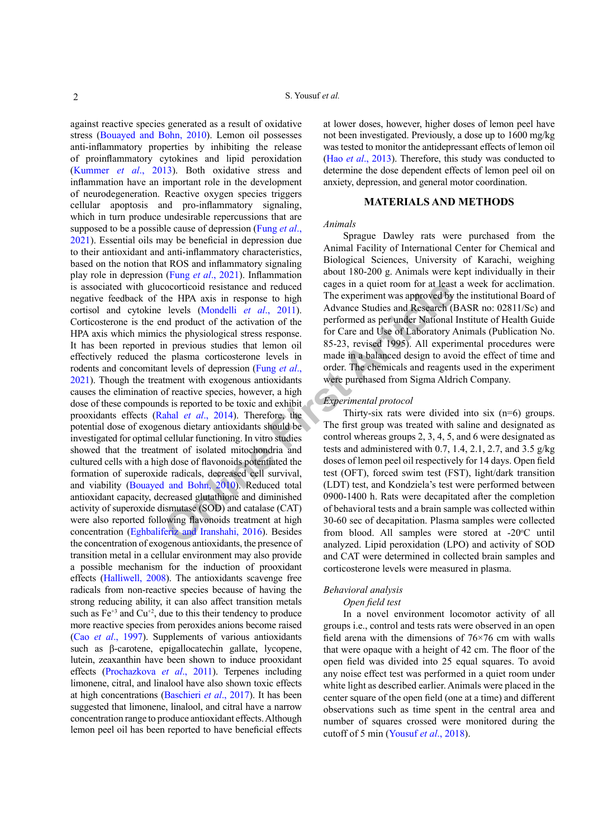contricoid resistance and reduced<br>
the HPA axis in response to high<br>
levels (Mondelli *et al.*, 2011). Advance Studies and Research (I<br>
levels (Mondelli *et al.*, 2011). Advance Studies and Research (I<br>
art levels of Labor against reactive species generated as a result of oxidative stress ([Bouayed and Bohn, 2010](#page-7-2)). Lemon oil possesses anti-inflammatory properties by inhibiting the release of proinflammatory cytokines and lipid peroxidation ([Kummer](#page-8-2) *et al*., 2013). Both oxidative stress and inflammation have an important role in the development of neurodegeneration. Reactive oxygen species triggers cellular apoptosis and pro-inflammatory signaling, which in turn produce undesirable repercussions that are supposed to be a possible cause of depression ([Fung](#page-7-3) *et al*., [2021\)](#page-7-3). Essential oils may be beneficial in depression due to their antioxidant and anti-inflammatory characteristics, based on the notion that ROS and inflammatory signaling play role in depression (Fung *et al*[., 2021](#page-7-3)). Inflammation is associated with glucocorticoid resistance and reduced negative feedback of the HPA axis in response to high cortisol and cytokine levels (Mondelli *et al*., 2011). Corticosterone is the end product of the activation of the HPA axis which mimics the physiological stress response. It has been reported in previous studies that lemon oil effectively reduced the plasma corticosterone levels in rodents and concomitant levels of depression (Fung *et al*., [2021](#page-7-3)). Though the treatment with exogenous antioxidants causes the elimination of reactive species, however, a high dose of these compounds is reported to be toxic and exhibit prooxidants effects (Rahal *et al*., 2014). Therefore, the potential dose of exogenous dietary antioxidants should be investigated for optimal cellular functioning. In vitro studies showed that the treatment of isolated mitochondria and cultured cells with a high dose of flavonoids potentiated the formation of superoxide radicals, decreased cell survival, and viability ([Bouayed and Bohn, 2010](#page-7-2)). Reduced total antioxidant capacity, decreased glutathione and diminished activity of superoxide dismutase (SOD) and catalase (CAT) were also reported following flavonoids treatment at high concentration ([Eghbaliferiz and Iranshahi, 2016](#page-7-4)). Besides the concentration of exogenous antioxidants, the presence of transition metal in a cellular environment may also provide a possible mechanism for the induction of prooxidant effects ([Halliwell, 2008](#page-7-5)). The antioxidants scavenge free radicals from non-reactive species because of having the strong reducing ability, it can also affect transition metals such as  $Fe^{+3}$  and  $Cu^{+2}$ , due to this their tendency to produce more reactive species from peroxides anions become raised (Cao *et al*[., 1997](#page-7-6)). Supplements of various antioxidants such as β-carotene, epigallocatechin gallate, lycopene, lutein, zeaxanthin have been shown to induce prooxidant effects (Prochazkova *et al*., 2011). Terpenes including limonene, citral, and linalool have also shown toxic effects at high concentrations ([Baschieri](#page-7-7) *et al*., 2017). It has been suggested that limonene, linalool, and citral have a narrow concentration range to produce antioxidant effects. Although lemon peel oil has been reported to have beneficial effects

at lower doses, however, higher doses of lemon peel have not been investigated. Previously, a dose up to 1600 mg/kg was tested to monitor the antidepressant effects of lemon oil (Hao *et al*[., 2013](#page-7-8)). Therefore, this study was conducted to determine the dose dependent effects of lemon peel oil on anxiety, depression, and general motor coordination.

# **MATERIALS AND METHODS**

# *Animals*

Sprague Dawley rats were purchased from the Animal Facility of International Center for Chemical and Biological Sciences, University of Karachi, weighing about 180-200 g. Animals were kept individually in their cages in a quiet room for at least a week for acclimation. The experiment was approved by the institutional Board of Advance Studies and Research (BASR no: 02811/Sc) and performed as per under National Institute of Health Guide for Care and Use of Laboratory Animals (Publication No. 85-23, revised 1995). All experimental procedures were made in a balanced design to avoid the effect of time and order. The chemicals and reagents used in the experiment were purchased from Sigma Aldrich Company.

#### *Experimental protocol*

Thirty-six rats were divided into six (n=6) groups. The first group was treated with saline and designated as control whereas groups 2, 3, 4, 5, and 6 were designated as tests and administered with 0.7, 1.4, 2.1, 2.7, and 3.5 g/kg doses of lemon peel oil respectively for 14 days. Open field test (OFT), forced swim test (FST), light/dark transition (LDT) test, and Kondziela's test were performed between 0900-1400 h. Rats were decapitated after the completion of behavioral tests and a brain sample was collected within 30-60 sec of decapitation. Plasma samples were collected from blood. All samples were stored at -20°C until analyzed. Lipid peroxidation (LPO) and activity of SOD and CAT were determined in collected brain samples and corticosterone levels were measured in plasma.

# *Behavioral analysis*

# *Open field test*

In a novel environment locomotor activity of all groups i.e., control and tests rats were observed in an open field arena with the dimensions of 76×76 cm with walls that were opaque with a height of 42 cm. The floor of the open field was divided into 25 equal squares. To avoid any noise effect test was performed in a quiet room under white light as described earlier. Animals were placed in the center square of the open field (one at a time) and different observations such as time spent in the central area and number of squares crossed were monitored during the cutoff of 5 min ([Yousuf](#page-8-5) *et al*., 2018).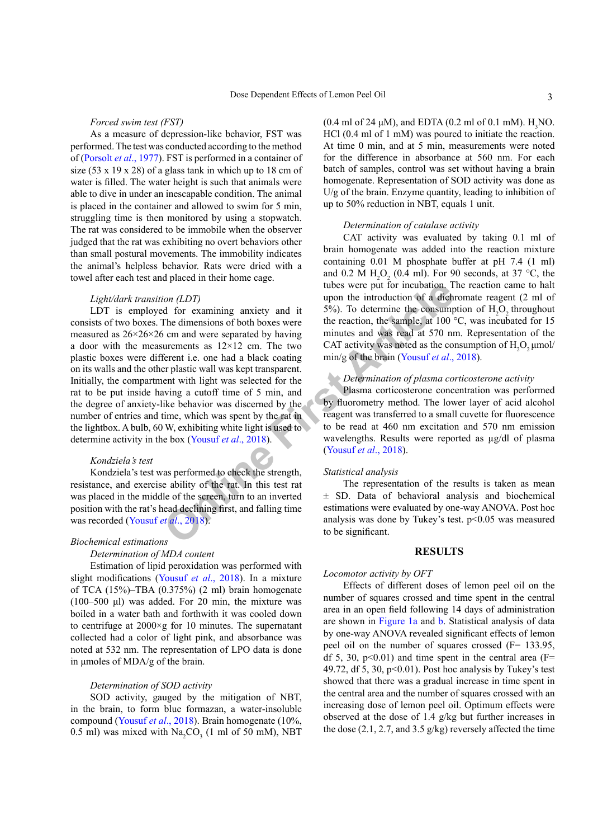*Forced swim test (FST)*

As a measure of depression-like behavior, FST was performed. The test was conducted according to the method of ([Porsolt](#page-8-6) *et al*., 1977). FST is performed in a container of size (53 x 19 x 28) of a glass tank in which up to 18 cm of water is filled. The water height is such that animals were able to dive in under an inescapable condition. The animal is placed in the container and allowed to swim for 5 min, struggling time is then monitored by using a stopwatch. The rat was considered to be immobile when the observer judged that the rat was exhibiting no overt behaviors other than small postural movements. The immobility indicates the animal's helpless behavior. Rats were dried with a towel after each test and placed in their home cage.

# *Light/dark transition (LDT)*

toon (LDT)<br>
toon (LDT)<br>
do for [e](#page-8-5)xamining anxie[t](#page-8-5)y and it  $5\%$ ). To determine the incoluction of a dich<br>
for the dimensions of both boxes were<br>
the reaction, the sample, at 100 s<br>
carre meates by having<br>
to mean were separ LDT is employed for examining anxiety and it consists of two boxes. The dimensions of both boxes were measured as  $26\times26\times26$  cm and were separated by having a door with the measurements as  $12\times12$  cm. The two plastic boxes were different i.e. one had a black coating on its walls and the other plastic wall was kept transparent. Initially, the compartment with light was selected for the rat to be put inside having a cutoff time of 5 min, and the degree of anxiety-like behavior was discerned by the number of entries and time, which was spent by the rat in the lightbox. A bulb, 60 W, exhibiting white light is used to determine activity in the box (Yousuf *et al*., 2018).

# *Kondziela's test*

Kondziela's test was performed to check the strength, resistance, and exercise ability of the rat. In this test rat was placed in the middle of the screen, turn to an inverted position with the rat's head declining first, and falling time was recorded (Yousuf *et al*., 2018).

#### *Biochemical estimations*

#### *Determination of MDA content*

Estimation of lipid peroxidation was performed with slight modifications ([Yousuf](#page-8-5) *et al*., 2018). In a mixture of TCA (15%)–TBA (0.375%) (2 ml) brain homogenate (100–500 μl) was added. For 20 min, the mixture was boiled in a water bath and forthwith it was cooled down to centrifuge at 2000×g for 10 minutes. The supernatant collected had a color of light pink, and absorbance was noted at 532 nm. The representation of LPO data is done in μmoles of MDA/g of the brain.

# *Determination of SOD activity*

SOD activity, gauged by the mitigation of NBT, in the brain, to form blue formazan, a water-insoluble compound ([Yousuf](#page-8-5) *et al*., 2018). Brain homogenate (10%, 0.5 ml) was mixed with  $\text{Na}_2\text{CO}_3$  (1 ml of 50 mM), NBT

(0.4 ml of 24  $\mu$ M), and EDTA (0.2 ml of 0.1 mM).  $H<sub>3</sub>NO$ . HCl (0.4 ml of 1 mM) was poured to initiate the reaction. At time 0 min, and at 5 min, measurements were noted for the difference in absorbance at 560 nm. For each batch of samples, control was set without having a brain homogenate. Representation of SOD activity was done as U/g of the brain. Enzyme quantity, leading to inhibition of up to 50% reduction in NBT, equals 1 unit.

# *Determination of catalase activity*

CAT activity was evaluated by taking 0.1 ml of brain homogenate was added into the reaction mixture containing 0.01 M phosphate buffer at pH 7.4 (1 ml) and 0.2 M  $H_2O_2$  (0.4 ml). For 90 seconds, at 37 °C, the tubes were put for incubation. The reaction came to halt upon the introduction of a dichromate reagent (2 ml of 5%). To determine the consumption of  $H_2O_2$  throughout the reaction, the sample, at 100 °C, was incubated for 15 minutes and was read at 570 nm. Representation of the CAT activity was noted as the consumption of  $H_2O_2$  µmol/ min/g of the brain (Yousuf *et al.*, 2018).

# *Determination of plasma corticosterone activity*

Plasma corticosterone concentration was performed by fluorometry method. The lower layer of acid alcohol reagent was transferred to a small cuvette for fluorescence to be read at 460 nm excitation and 570 nm emission wavelengths. Results were reported as  $\mu$ g/dl of plasma (Yousuf *et al*., 2018).

#### *Statistical analysis*

The representation of the results is taken as mean ± SD. Data of behavioral analysis and biochemical estimations were evaluated by one-way ANOVA. Post hoc analysis was done by Tukey's test.  $p<0.05$  was measured to be significant.

# **RESULTS**

#### *Locomotor activity by OFT*

Effects of different doses of lemon peel oil on the number of squares crossed and time spent in the central area in an open field following 14 days of administration are shown in [Figure 1a](#page-3-0) and [b](#page-3-0). Statistical analysis of data by one-way ANOVA revealed significant effects of lemon peel oil on the number of squares crossed (F= 133.95, df 5, 30, p $\leq$ 0.01) and time spent in the central area (F= 49.72, df 5, 30,  $p<0.01$ ). Post hoc analysis by Tukey's test showed that there was a gradual increase in time spent in the central area and the number of squares crossed with an increasing dose of lemon peel oil. Optimum effects were observed at the dose of 1.4 g/kg but further increases in the dose  $(2.1, 2.7,$  and  $3.5$  g/kg) reversely affected the time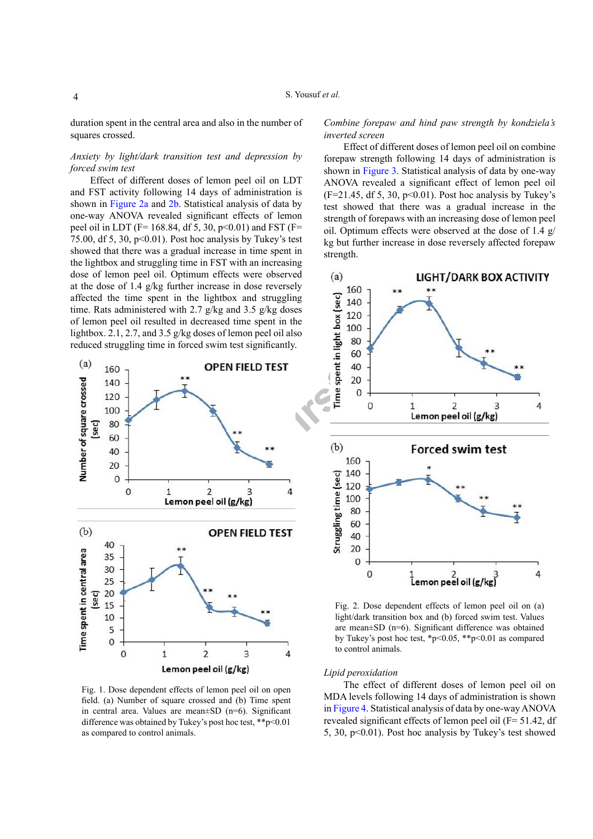duration spent in the central area and also in the number of squares crossed.

# *Anxiety by light/dark transition test and depression by forced swim test*

Effect of different doses of lemon peel oil on LDT and FST activity following 14 days of administration is shown in [Figure 2a](#page-3-1) and [2b](#page-3-1). Statistical analysis of data by one-way ANOVA revealed significant effects of lemon peel oil in LDT (F= 168.84, df 5, 30,  $p<0.01$ ) and FST (F= 75.00, df 5, 30,  $p<0.01$ ). Post hoc analysis by Tukey's test showed that there was a gradual increase in time spent in the lightbox and struggling time in FST with an increasing dose of lemon peel oil. Optimum effects were observed at the dose of 1.4 g/kg further increase in dose reversely affected the time spent in the lightbox and struggling time. Rats administered with 2.7 g/kg and 3.5 g/kg doses of lemon peel oil resulted in decreased time spent in the lightbox. 2.1, 2.7, and 3.5 g/kg doses of lemon peel oil also reduced struggling time in forced swim test significantly.



<span id="page-3-0"></span>Fig. 1. Dose dependent effects of lemon peel oil on open field. (a) Number of square crossed and (b) Time spent in central area. Values are mean±SD (n=6). Significant difference was obtained by Tukey's post hoc test, \*\*p<0.01 as compared to control animals.

*Combine forepaw and hind paw strength by kondziela's inverted screen*

Effect of different doses of lemon peel oil on combine forepaw strength following 14 days of administration is shown in [Figure 3](#page-4-0). Statistical analysis of data by one-way ANOVA revealed a significant effect of lemon peel oil  $(F=21.45, df 5, 30, p<0.01)$ . Post hoc analysis by Tukey's test showed that there was a gradual increase in the strength of forepaws with an increasing dose of lemon peel oil. Optimum effects were observed at the dose of 1.4 g/ kg but further increase in dose reversely affected forepaw strength.



<span id="page-3-1"></span>Fig. 2. Dose dependent effects of lemon peel oil on (a) light/dark transition box and (b) forced swim test. Values are mean±SD (n=6). Significant difference was obtained by Tukey's post hoc test, \*p<0.05, \*\*p<0.01 as compared to control animals.

# *Lipid peroxidation*

The effect of different doses of lemon peel oil on MDA levels following 14 days of administration is shown in [Figure 4](#page-4-1). Statistical analysis of data by one-way ANOVA revealed significant effects of lemon peel oil (F= 51.42, df 5, 30, p<0.01). Post hoc analysis by Tukey's test showed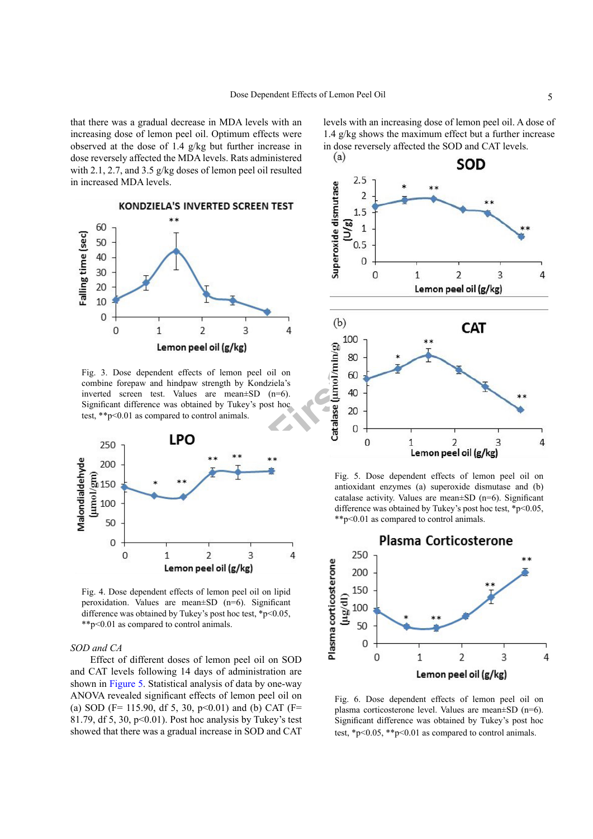that there was a gradual decrease in MDA levels with an increasing dose of lemon peel oil. Optimum effects were observed at the dose of 1.4 g/kg but further increase in dose reversely affected the MDA levels. Rats administered with 2.1, 2.7, and 3.5 g/kg doses of lemon peel oil resulted in increased MDA levels.



<span id="page-4-0"></span>Fig. 3. Dose dependent effects of lemon peel oil on combine forepaw and hindpaw strength by Kondziela's inverted screen test. Values are mean±SD (n=6). Significant difference was obtained by Tukey's post hoc test, \*\*p<0.01 as compared to control animals.



<span id="page-4-1"></span>Fig. 4. Dose dependent effects of lemon peel oil on lipid peroxidation. Values are mean±SD (n=6). Significant difference was obtained by Tukey's post hoc test, \*p<0.05, \*\*p<0.01 as compared to control animals.

# *SOD and CA*

Effect of different doses of lemon peel oil on SOD and CAT levels following 14 days of administration are shown in [Figure 5.](#page-4-2) Statistical analysis of data by one-way ANOVA revealed significant effects of lemon peel oil on (a) SOD (F= 115.90, df 5, 30,  $p<0.01$ ) and (b) CAT (F= 81.79, df 5, 30,  $p<0.01$ ). Post hoc analysis by Tukey's test showed that there was a gradual increase in SOD and CAT levels with an increasing dose of lemon peel oil. A dose of 1.4 g/kg shows the maximum effect but a further increase in dose reversely affected the SOD and CAT levels.<br>(a)



<span id="page-4-2"></span>Fig. 5. Dose dependent effects of lemon peel oil on antioxidant enzymes (a) superoxide dismutase and (b) catalase activity. Values are mean±SD (n=6). Significant difference was obtained by Tukey's post hoc test,  $*p<0.05$ , \*\*p<0.01 as compared to control animals.



<span id="page-4-3"></span>Fig. 6. Dose dependent effects of lemon peel oil on plasma corticosterone level. Values are mean±SD (n=6). Significant difference was obtained by Tukey's post hoc test,  $\frac{1}{2}p \leq 0.05$ ,  $\frac{1}{2}p \leq 0.01$  as compared to control animals.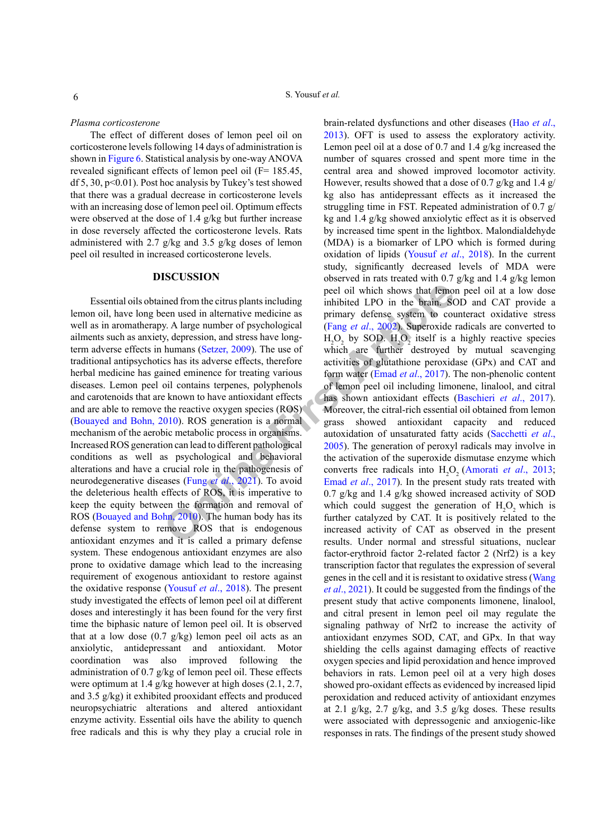*Plasma corticosterone*

The effect of different doses of lemon peel oil on corticosterone levels following 14 days of administration is shown in [Figure 6](#page-4-3). Statistical analysis by one-way ANOVA revealed significant effects of lemon peel oil (F= 185.45, df 5, 30,  $p<0.01$ ). Post hoc analysis by Tukey's test showed that there was a gradual decrease in corticosterone levels with an increasing dose of lemon peel oil. Optimum effects were observed at the dose of 1.4 g/kg but further increase in dose reversely affected the corticosterone levels. Rats administered with 2.7 g/kg and 3.5 g/kg doses of lemon peel oil resulted in increased corticosterone levels.

# **DISCUSSION**

Essential oils obtained from the citrus plants including lemon oil, have long been used in alternative medicine as well as in aromatherapy. A large number of psychological ailments such as anxiety, depression, and stress have longterm adverse effects in humans (Setzer, 2009). The use of traditional antipsychotics has its adverse effects, therefore herbal medicine has gained eminence for treating various diseases. Lemon peel oil contains terpenes, polyphenols and carotenoids that are known to have antioxidant effects and are able to remove the reactive oxygen species (ROS) ([Bouayed and Bohn, 2010\)](#page-7-2). ROS generation is a normal mechanism of the aerobic metabolic process in organisms. Increased ROS generation can lead to different pathological conditions as well as psychological and behavioral alterations and have a crucial role in the pathogenesis of neurodegenerative diseases (Fung *et al*., 2021). To avoid the deleterious health effects of ROS, it is imperative to keep the equity between the formation and removal of ROS [\(Bouayed and Bohn, 2010\)](#page-7-2). The human body has its defense system to remove ROS that is endogenous antioxidant enzymes and it is called a primary defense system. These endogenous antioxidant enzymes are also prone to oxidative damage which lead to the increasing requirement of exogenous antioxidant to restore against the oxidative response [\(Yousuf](#page-8-5) *et al*., 2018). The present study investigated the effects of lemon peel oil at different doses and interestingly it has been found for the very first time the biphasic nature of lemon peel oil. It is observed that at a low dose  $(0.7 \text{ g/kg})$  lemon peel oil acts as an anxiolytic, antidepressant and antioxidant. Motor coordination was also improved following the administration of 0.7 g/kg of lemon peel oil. These effects were optimum at 1.4 g/kg however at high doses (2.1, 2.7, and 3.5 g/kg) it exhibited prooxidant effects and produced neuropsychiatric alterations and altered antioxidant enzyme activity. Essential oils have the ability to quench free radicals and this is why they play a crucial role in

ined from the citrus plants including<br>
peel oil which shows that lemo-<br>
een used in alternative medicine as<br>
y. [A](#page-7-10) large number of psychological<br>
y. A large number of psychological<br>
H<sub>2</sub>O<sub>2</sub> by SOD. H<sub>2</sub>O200. Superoxide<br>
h brain-related dysfunctions and other diseases ([Hao](#page-7-8) *et al*., [2013](#page-7-8)). OFT is used to assess the exploratory activity. Lemon peel oil at a dose of 0.7 and 1.4 g/kg increased the number of squares crossed and spent more time in the central area and showed improved locomotor activity. However, results showed that a dose of 0.7 g/kg and 1.4 g/ kg also has antidepressant effects as it increased the struggling time in FST. Repeated administration of 0.7 g/ kg and 1.4 g/kg showed anxiolytic effect as it is observed by increased time spent in the lightbox. Malondialdehyde (MDA) is a biomarker of LPO which is formed during oxidation of lipids [\(Yousuf](#page-8-5) *et al*., 2018). In the current study, significantly decreased levels of MDA were observed in rats treated with 0.7 g/kg and 1.4 g/kg lemon peel oil which shows that lemon peel oil at a low dose inhibited LPO in the brain. SOD and CAT provide a primary defense system to counteract oxidative stress (Fang *et al*., 2002). Superoxide radicals are converted to  $H_2O_2$  by SOD.  $H_2O_2$  itself is a highly reactive species which are further destroyed by mutual scavenging activities of glutathione peroxidase (GPx) and CAT and form water (Emad *et al*., 2017). The non-phenolic content of lemon peel oil including limonene, linalool, and citral has shown antioxidant effects [\(Baschieri](#page-7-7) *et al*., 2017). Moreover, the citral-rich essential oil obtained from lemon grass showed antioxidant capacity and reduced autoxidation of unsaturated fatty acids ([Sacchetti](#page-8-8) *et al*., 2005). The generation of peroxyl radicals may involve in the activation of the superoxide dismutase enzyme which converts free radicals into  $H_2O_2$  ([Amorati](#page-7-11) *et al.*, 2013; Emad *et al*., 2017). In the present study rats treated with 0.7 g/kg and 1.4 g/kg showed increased activity of SOD which could suggest the generation of  $H_2O_2$  which is further catalyzed by CAT. It is positively related to the increased activity of CAT as observed in the present results. Under normal and stressful situations, nuclear factor-erythroid factor 2-related factor 2 (Nrf2) is a key transcription factor that regulates the expression of several genes in the cell and it is resistant to oxidative stress ([Wang](#page-8-9)  *et al*[., 2021\)](#page-8-9). It could be suggested from the findings of the present study that active components limonene, linalool, and citral present in lemon peel oil may regulate the signaling pathway of Nrf2 to increase the activity of antioxidant enzymes SOD, CAT, and GPx. In that way shielding the cells against damaging effects of reactive oxygen species and lipid peroxidation and hence improved behaviors in rats. Lemon peel oil at a very high doses showed pro-oxidant effects as evidenced by increased lipid peroxidation and reduced activity of antioxidant enzymes at 2.1 g/kg, 2.7 g/kg, and 3.5 g/kg doses. These results were associated with depressogenic and anxiogenic-like responses in rats. The findings of the present study showed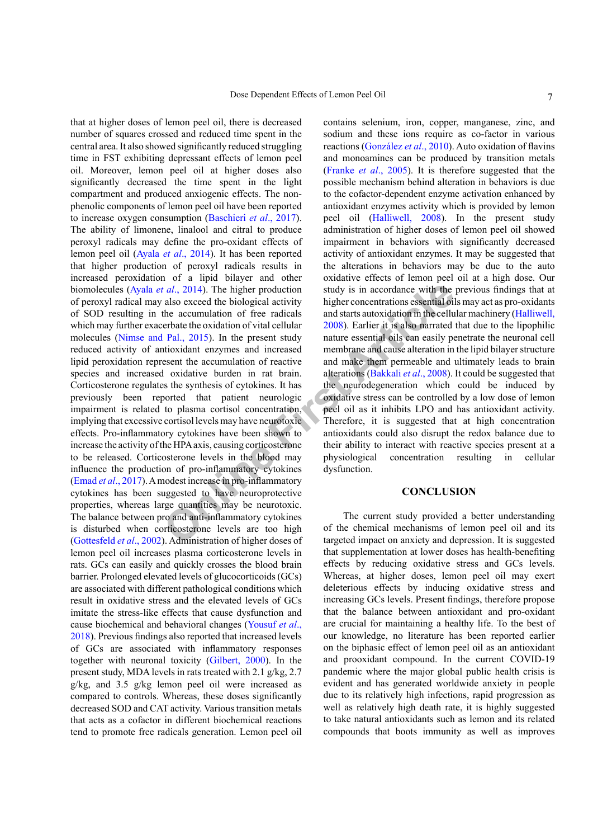**CONCLUS**<br> **CONCLUS**<br> **CONCLUS**<br> **CONCLUS**<br> **CONCLUS**<br> **CONCLUS**<br> **CONCIFIC[A](#page-7-15)TION**<br> **CONFIGITERT A**<br> **CONFIGITERT A**<br> **CONFIGITERT A**<br> **CONFIGITERT A**<br> **CONFIGITERT A**<br> **CONFIGITERT A**<br> **CONFIGITERT A**<br> **CONFIGITERT A**<br> **CO** that at higher doses of lemon peel oil, there is decreased number of squares crossed and reduced time spent in the central area. It also showed significantly reduced struggling time in FST exhibiting depressant effects of lemon peel oil. Moreover, lemon peel oil at higher doses also significantly decreased the time spent in the light compartment and produced anxiogenic effects. The nonphenolic components of lemon peel oil have been reported to increase oxygen consumption ([Baschieri](#page-7-7) *et al*., 2017). The ability of limonene, linalool and citral to produce peroxyl radicals may define the pro-oxidant effects of lemon peel oil (Ayala *et al*[., 2014](#page-7-12)). It has been reported that higher production of peroxyl radicals results in increased peroxidation of a lipid bilayer and other biomolecules (Ayala *et al*., 2014). The higher production of peroxyl radical may also exceed the biological activity of SOD resulting in the accumulation of free radicals which may further exacerbate the oxidation of vital cellular molecules ([Nimse and Pal., 2015\)](#page-8-10). In the present study reduced activity of antioxidant enzymes and increased lipid peroxidation represent the accumulation of reactive species and increased oxidative burden in rat brain. Corticosterone regulates the synthesis of cytokines. It has previously been reported that patient neurologic impairment is related to plasma cortisol concentration, implying that excessive cortisol levels may have neurotoxic effects. Pro-inflammatory cytokines have been shown to increase the activity of the HPA axis, causing corticosterone to be released. Corticosterone levels in the blood may influence the production of pro-inflammatory cytokines (Emad *et al*[., 2017\)](#page-7-10). A modest increase in pro-inflammatory cytokines has been suggested to have neuroprotective properties, whereas large quantities may be neurotoxic. The balance between pro and anti-inflammatory cytokines is disturbed when corticosterone levels are too high [\(Gottesfeld](#page-7-13) *et al*., 2002). Administration of higher doses of lemon peel oil increases plasma corticosterone levels in rats. GCs can easily and quickly crosses the blood brain barrier. Prolonged elevated levels of glucocorticoids (GCs) are associated with different pathological conditions which result in oxidative stress and the elevated levels of GCs imitate the stress-like effects that cause dysfunction and cause biochemical and behavioral changes ([Yousuf](#page-8-5) *et al*., [2018\)](#page-8-5). Previous findings also reported that increased levels of GCs are associated with inflammatory responses together with neuronal toxicity ([Gilbert, 2000](#page-7-14)). In the present study, MDA levels in rats treated with 2.1 g/kg, 2.7 g/kg, and 3.5 g/kg lemon peel oil were increased as compared to controls. Whereas, these doses significantly decreased SOD and CAT activity. Various transition metals that acts as a cofactor in different biochemical reactions tend to promote free radicals generation. Lemon peel oil

contains selenium, iron, copper, manganese, zinc, and sodium and these ions require as co-factor in various reactions (González *et al*., 2010). Auto oxidation of flavins and monoamines can be produced by transition metals (Franke *et al*., 2005). It is therefore suggested that the possible mechanism behind alteration in behaviors is due to the cofactor-dependent enzyme activation enhanced by antioxidant enzymes activity which is provided by lemon peel oil ([Halliwell, 2008\)](#page-7-5). In the present study administration of higher doses of lemon peel oil showed impairment in behaviors with significantly decreased activity of antioxidant enzymes. It may be suggested that the alterations in behaviors may be due to the auto oxidative effects of lemon peel oil at a high dose. Our study is in accordance with the previous findings that at higher concentrations essential oils may act as pro-oxidants and starts autoxidation in the cellular machinery [\(Halliwell,](#page-7-5) 2008). Earlier it is also narrated that due to the lipophilic nature essential oils can easily penetrate the neuronal cell membrane and cause alteration in the lipid bilayer structure and make them permeable and ultimately leads to brain alterations (Bakkali *et al*., 2008). It could be suggested that the neurodegeneration which could be induced by oxidative stress can be controlled by a low dose of lemon peel oil as it inhibits LPO and has antioxidant activity. Therefore, it is suggested that at high concentration antioxidants could also disrupt the redox balance due to their ability to interact with reactive species present at a physiological concentration resulting in cellular dysfunction.

# **CONCLUSION**

The current study provided a better understanding of the chemical mechanisms of lemon peel oil and its targeted impact on anxiety and depression. It is suggested that supplementation at lower doses has health-benefiting effects by reducing oxidative stress and GCs levels. Whereas, at higher doses, lemon peel oil may exert deleterious effects by inducing oxidative stress and increasing GCs levels. Present findings, therefore propose that the balance between antioxidant and pro-oxidant are crucial for maintaining a healthy life. To the best of our knowledge, no literature has been reported earlier on the biphasic effect of lemon peel oil as an antioxidant and prooxidant compound. In the current COVID-19 pandemic where the major global public health crisis is evident and has generated worldwide anxiety in people due to its relatively high infections, rapid progression as well as relatively high death rate, it is highly suggested to take natural antioxidants such as lemon and its related compounds that boots immunity as well as improves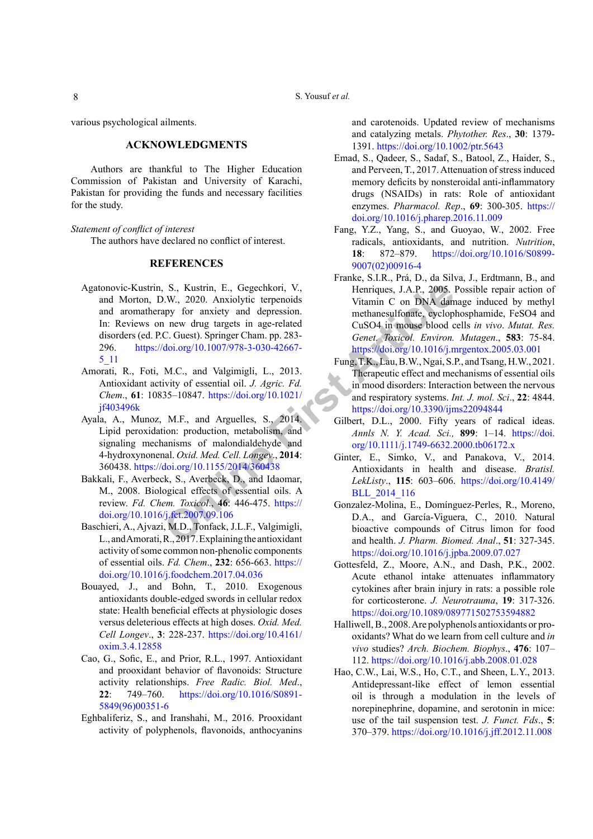S. Yousuf *et al.*

various psychological ailments.

# **ACKNOWLEDGMENTS**

Authors are thankful to The Higher Education Commission of Pakistan and University of Karachi, Pakistan for providing the funds and necessary facilities for the study.

#### *Statement of conflict of interest*

The authors have declared no conflict of interest.

# **REFERENCES**

- <span id="page-7-0"></span>**S.** Kust[r](https://doi.org/10.1021/jf403496k)in, E., Gegechkori, V.,<br> **IX.**, 2020. Anxiolytic terpenoids<br>
Thenriques, J.A.P., 2005.<br>
IV., 2020. Anxiolytic terpenoids<br> **Onl[ine](https://doi.org/10.1155/2014/360438)** The methanesulfonate, eyelopy<br> **Online** are the computed to the computation of DN Agatonovic-Kustrin, S., Kustrin, E., Gegechkori, V., and Morton, D.W., 2020. Anxiolytic terpenoids and aromatherapy for anxiety and depression. In: Reviews on new drug targets in age-related disorders (ed. P.C. Guest). Springer Cham. pp. 283- 296. https://doi.org/10.1007/978-3-030-42667- [5\\_11](https://doi.org/10.1007/978-3-030-42667-5_11)
- <span id="page-7-11"></span>Amorati, R., Foti, M.C., and Valgimigli, L., 2013. Antioxidant activity of essential oil. *J. Agric. Fd. Chem*., **61**: 10835–10847. https://doi.org/10.1021/ [jf403496k](https://doi.org/10.1021/jf403496k)
- <span id="page-7-12"></span>Ayala, A., Munoz, M.F., and Arguelles, S., 2014. Lipid peroxidation: production, metabolism, and signaling mechanisms of malondialdehyde and 4-hydroxynonenal. *Oxid. Med. Cell. Longev*., **2014**: 360438. https://doi.org/10.1155/2014/360438
- <span id="page-7-15"></span>Bakkali, F., Averbeck, S., Averbeck, D., and Idaomar, M., 2008. Biological effects of essential oils. A review. *Fd. Chem. Toxicol*., **46**: 446-475. https:// [doi.org/10.1016/j.fct.2007.09.106](https://doi.org/10.1016/j.fct.2007.09.106)
- <span id="page-7-7"></span>Baschieri, A., Ajvazi, M.D., Tonfack, J.L.F., Valgimigli, L., and Amorati, R., 2017. Explaining the antioxidant activity of some common non-phenolic components of essential oils. *Fd. Chem*., **232**: 656-663. [https://](https://doi.org/10.1016/j.foodchem.2017.04.036) [doi.org/10.1016/j.foodchem.2017.04.036](https://doi.org/10.1016/j.foodchem.2017.04.036)
- <span id="page-7-2"></span>Bouayed, J., and Bohn, T., 2010. Exogenous antioxidants double-edged swords in cellular redox state: Health beneficial effects at physiologic doses versus deleterious effects at high doses. *Oxid. Med. Cell Longev*., **3**: 228-237. [https://doi.org/10.4161/](https://doi.org/10.4161/oxim.3.4.12858) [oxim.3.4.12858](https://doi.org/10.4161/oxim.3.4.12858)
- <span id="page-7-6"></span>Cao, G., Sofic, E., and Prior, R.L., 1997. Antioxidant and prooxidant behavior of flavonoids: Structure activity relationships. *Free Radic. Biol. Med*., **22**: 749–760. [https://doi.org/10.1016/S0891-](https://doi.org/10.1016/S0891-5849(96)00351-6) [5849\(96\)00351-6](https://doi.org/10.1016/S0891-5849(96)00351-6)
- <span id="page-7-4"></span>Eghbaliferiz, S., and Iranshahi, M., 2016. Prooxidant activity of polyphenols, flavonoids, anthocyanins

and carotenoids. Updated review of mechanisms and catalyzing metals. *Phytother. Res*., **30**: 1379- 1391.<https://doi.org/10.1002/ptr.5643>

- <span id="page-7-10"></span>Emad, S., Qadeer, S., Sadaf, S., Batool, Z., Haider, S., and Perveen, T., 2017. Attenuation of stress induced memory deficits by nonsteroidal anti-inflammatory drugs (NSAIDs) in rats: Role of antioxidant enzymes. *Pharmacol. Rep*., **69**: 300-305. [https://](https://doi.org/10.1016/j.pharep.2016.11.009) [doi.org/10.1016/j.pharep.2016.11.009](https://doi.org/10.1016/j.pharep.2016.11.009)
- <span id="page-7-9"></span>Fang, Y.Z., Yang, S., and Guoyao, W., 2002. Free radicals, antioxidants, and nutrition. *Nutrition*, **18**: 872–879. [https://doi.org/10.1016/S0899-](https://doi.org/10.1016/S0899-9007(02)00916-4) [9007\(02\)00916-4](https://doi.org/10.1016/S0899-9007(02)00916-4)
- Franke, S.I.R., Prá, D., da Silva, J., Erdtmann, B., and Henriques, J.A.P., 2005. Possible repair action of Vitamin C on DNA damage induced by methyl methanesulfonate, cyclophosphamide, FeSO4 and CuSO4 in mouse blood cells *in vivo*. *Mutat. Res. Genet. Toxicol. Environ. Mutagen*., **583**: 75-84. <https://doi.org/10.1016/j.mrgentox.2005.03.001>
- <span id="page-7-3"></span>Fung, T.K., Lau, B.W., Ngai, S.P., and Tsang, H.W., 2021. Therapeutic effect and mechanisms of essential oils in mood disorders: Interaction between the nervous and respiratory systems. *Int. J. mol. Sci*., **22**: 4844. <https://doi.org/10.3390/ijms22094844>
- <span id="page-7-14"></span>Gilbert, D.L., 2000. Fifty years of radical ideas. *Annls N. Y. Acad. Sci.,* **899**: 1–14. [https://doi.](https://doi.org/10.1111/j.1749-6632.2000.tb06172.x) [org/10.1111/j.1749-6632.2000.tb06172.x](https://doi.org/10.1111/j.1749-6632.2000.tb06172.x)
- <span id="page-7-1"></span>Ginter, E., Simko, V., and Panakova, V., 2014. Antioxidants in health and disease. *Bratisl. LekListy*., **115**: 603–606. [https://doi.org/10.4149/](https://doi.org/10.4149/BLL_2014_116) BLL\_2014\_116
- Gonzalez-Molina, E., Domínguez-Perles, R., Moreno, D.A., and García-Viguera, C., 2010. Natural bioactive compounds of Citrus limon for food and health. *J. Pharm. Biomed. Anal*., **51**: 327-345. <https://doi.org/10.1016/j.jpba.2009.07.027>
- <span id="page-7-13"></span>Gottesfeld, Z., Moore, A.N., and Dash, P.K., 2002. Acute ethanol intake attenuates inflammatory cytokines after brain injury in rats: a possible role for corticosterone. *J. Neurotrauma*, **19**: 317-326. <https://doi.org/10.1089/089771502753594882>
- <span id="page-7-5"></span>Halliwell, B., 2008. Are polyphenols antioxidants or prooxidants? What do we learn from cell culture and *in vivo* studies? *Arch. Biochem. Biophys*., **476**: 107– 112. <https://doi.org/10.1016/j.abb.2008.01.028>
- <span id="page-7-8"></span>Hao, C.W., Lai, W.S., Ho, C.T., and Sheen, L.Y., 2013. Antidepressant-like effect of lemon essential oil is through a modulation in the levels of norepinephrine, dopamine, and serotonin in mice: use of the tail suspension test. *J. Funct. Fds*., **5**: 370–379.<https://doi.org/10.1016/j.jff.2012.11.008>